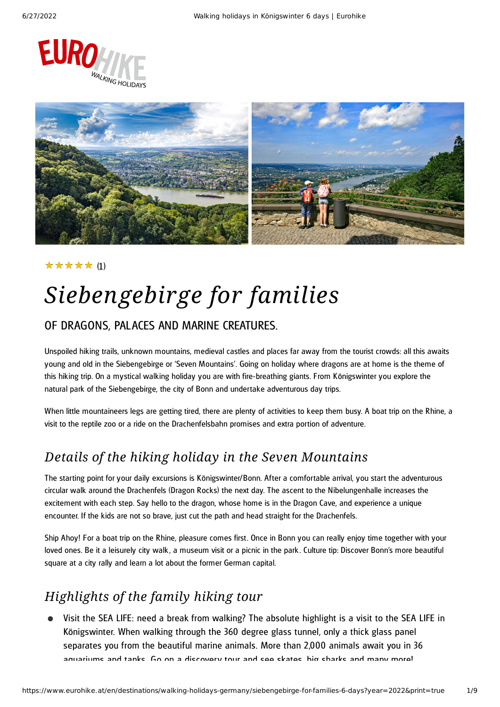



#### (1) ★★★★★

# *Siebengebirge for families*

#### OF DRAGONS, PALACES AND MARINE CREATURES.

Unspoiled hiking trails, unknown mountains, medieval castles and places far away from the tourist crowds: all this awaits young and old in the Siebengebirge or 'Seven Mountains'. Going on holiday where dragons are at home is the theme of this hiking trip. On a mystical walking holiday you are with fire-breathing giants. From Königswinter you explore the natural park of the Siebengebirge, the city of Bonn and undertake adventurous day trips.

When little mountaineers legs are getting tired, there are plenty of activities to keep them busy. A boat trip on the Rhine, a visit to the reptile zoo or a ride on the Drachenfelsbahn promises and extra portion of adventure.

### *Details of the hiking holiday in the Seven Mountains*

The starting point for your daily excursions is Königswinter/Bonn. After a comfortable arrival, you start the adventurous circular walk around the Drachenfels (Dragon Rocks) the next day. The ascent to the Nibelungenhalle increases the excitement with each step. Say hello to the dragon, whose home is in the Dragon Cave, and experience a unique encounter. If the kids are not so brave, just cut the path and head straight for the Drachenfels.

Ship Ahoy! For a boat trip on the Rhine, pleasure comes first. Once in Bonn you can really enjoy time together with your loved ones. Be it a leisurely city walk, a museum visit or a picnic in the park. Culture tip: Discover Bonn's more beautiful square at a city rally and learn a lot about the former German capital.

### *Highlights of the family hiking tour*

Visit the SEA LIFE: need a break from walking? The absolute highlight is a visit to the SEA LIFE in Königswinter. When walking through the 360 degree glass tunnel, only a thick glass panel separates you from the beautiful marine animals. More than 2,000 animals await you in 36 aquariums and tanks Go on a discovery tour and see skates big sharks and many more!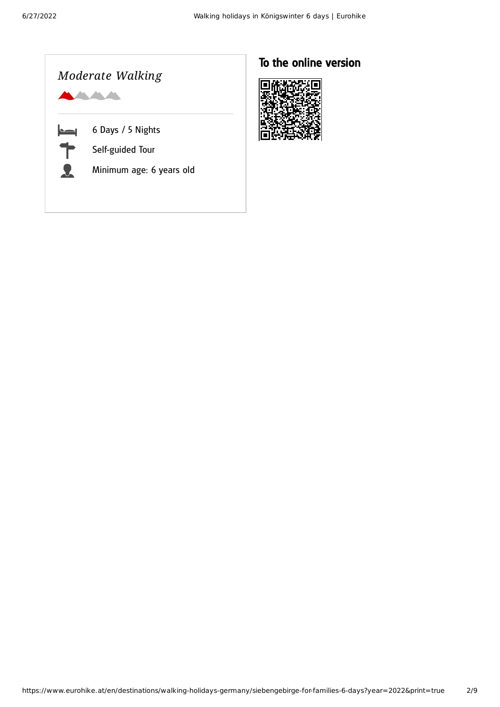

### To the online version

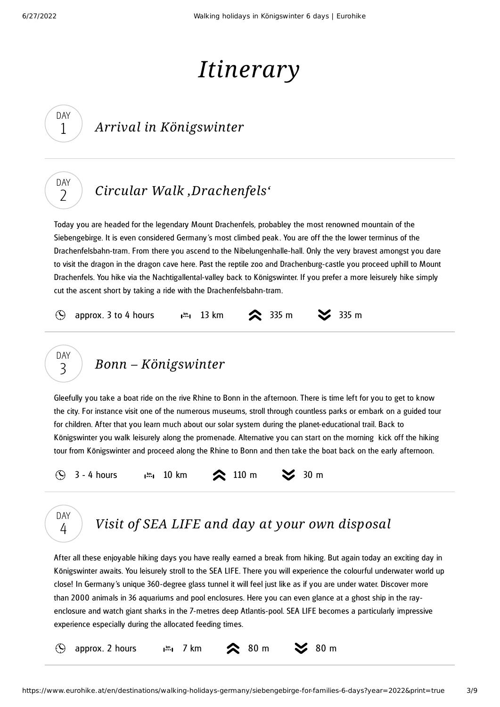DAY 1

DAY  $\overline{\phantom{0}}$ 

# *Itinerary*

## *Arrival in Königswinter*

## *Circular Walk ['Drachenfels'](#page-2-0)*

<span id="page-2-0"></span>Today you are headed for the legendary Mount Drachenfels, probabley the most renowned mountain of the Siebengebirge. It is even considered Germany's most climbed peak . You are off the the lower terminus of the Drachenfelsbahn-tram. From there you ascend to the Nibelungenhalle-hall. Only the very bravest amongst you dare to visit the dragon in the dragon cave here. Past the reptile zoo and Drachenburg-castle you proceed uphill to Mount Drachenfels. You hike via the Nachtigallental-valley back to Königswinter. If you prefer a more leisurely hike simply cut the ascent short by taking a ride with the Drachenfelsbahn-tram.





<span id="page-2-1"></span>Gleefully you take a boat ride on the rive Rhine to Bonn in the afternoon. There is time left for you to get to know the city. For instance visit one of the numerous museums, stroll through countless parks or embark on a guided tour for children. After that you learn much about our solar system during the planet-educational trail. Back to Königswinter you walk leisurely along the promenade. Alternative you can start on the morning kick off the hiking tour from Königswinter and proceed along the Rhine to Bonn and then take the boat back on the early afternoon.

3 - 4 hours  $\lim_{n \to \infty} 10 \text{ km}$   $\therefore$  110 m  $\implies$  30 m  $\Omega$ 



## *Visit of SEA LIFE and day at your own [disposal](#page-2-2)*

<span id="page-2-2"></span>After all these enjoyable hiking days you have really earned a break from hiking. But again today an exciting day in Königswinter awaits. You leisurely stroll to the SEA LIFE. There you will experience the colourful underwater world up close! In Germany's unique 360-degree glass tunnel it will feel just like as if you are under water. Discover more than 2000 animals in 36 aquariums and pool enclosures. Here you can even glance at a ghost ship in the rayenclosure and watch giant sharks in the 7-metres deep Atlantis-pool. SEA LIFE becomes a particularly impressive experience especially during the allocated feeding times.

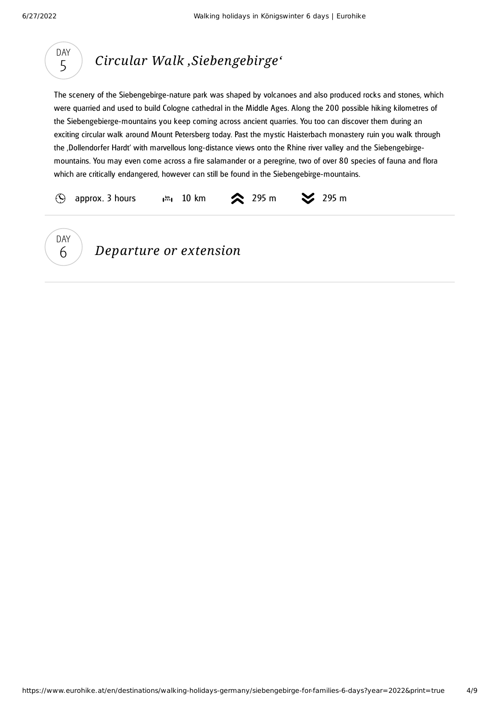<span id="page-3-0"></span>



### *Departure or extension*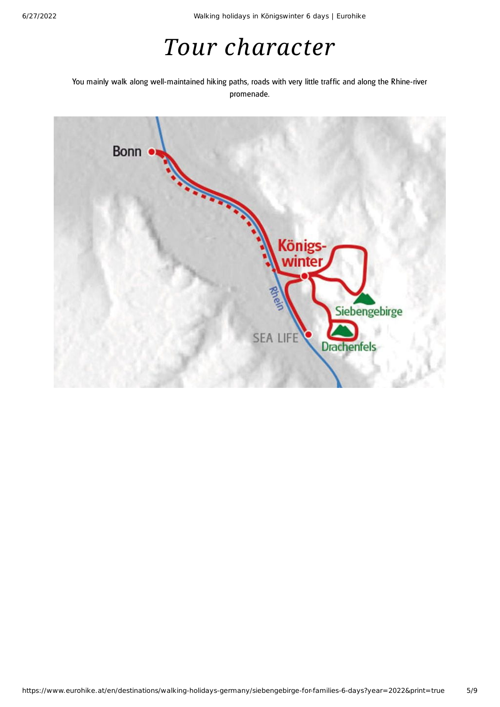## *Tour character*

You mainly walk along well-maintained hiking paths, roads with very little traffic and along the Rhine-river promenade.

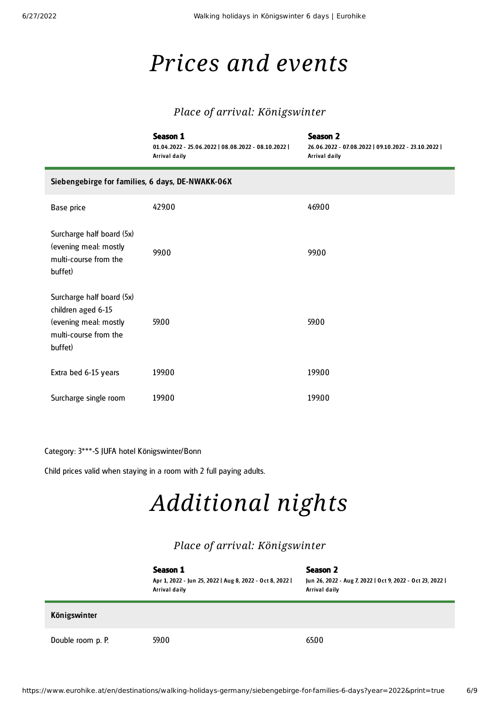## *Prices and events*

#### *Place of arrival: Königswinter*

|                                                                                                              | <b>Season 1</b><br>01.04.2022 - 25.06.2022   08.08.2022 - 08.10.2022  <br><b>Arrival daily</b> | <b>Season 2</b><br>26.06.2022 - 07.08.2022   09.10.2022 - 23.10.2022  <br>Arrival daily |  |  |
|--------------------------------------------------------------------------------------------------------------|------------------------------------------------------------------------------------------------|-----------------------------------------------------------------------------------------|--|--|
| Siebengebirge for families, 6 days, DE-NWAKK-06X                                                             |                                                                                                |                                                                                         |  |  |
| Base price                                                                                                   | 429.00                                                                                         | 469.00                                                                                  |  |  |
| Surcharge half board (5x)<br>(evening meal: mostly<br>multi-course from the<br>buffet)                       | 99.00                                                                                          | 99.00                                                                                   |  |  |
| Surcharge half board (5x)<br>children aged 6-15<br>(evening meal: mostly<br>multi-course from the<br>buffet) | 59.00                                                                                          | 59.00                                                                                   |  |  |
| Extra bed 6-15 years                                                                                         | 199.00                                                                                         | 199.00                                                                                  |  |  |
| Surcharge single room                                                                                        | 199.00                                                                                         | 199.00                                                                                  |  |  |

Category: 3\*\*\*-S JUFA hotel Königswinter/Bonn

Child prices valid when staying in a room with 2 full paying adults.

# *Additional nights*

#### *Place of arrival: Königswinter*

|                   | Season 1<br>Apr 1, 2022 - Jun 25, 2022   Aug 8, 2022 - Oct 8, 2022  <br>Arrival daily | Season 2<br>Jun 26, 2022 - Aug 7, 2022   Oct 9, 2022 - Oct 23, 2022  <br>Arrival daily |
|-------------------|---------------------------------------------------------------------------------------|----------------------------------------------------------------------------------------|
| Königswinter      |                                                                                       |                                                                                        |
| Double room p. P. | 59.00                                                                                 | 65.00                                                                                  |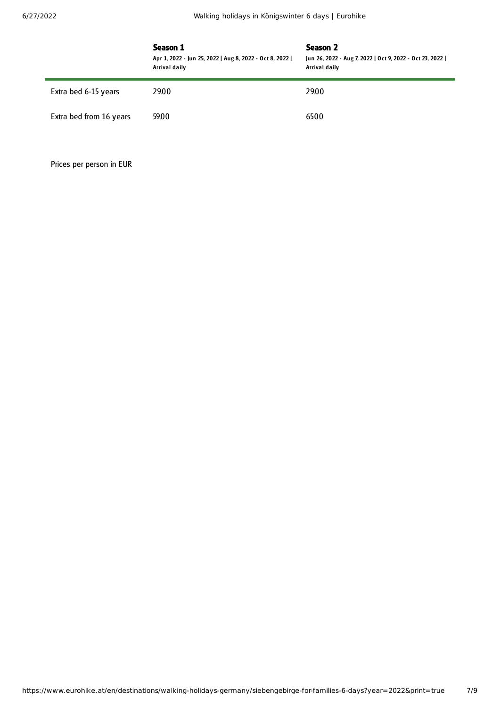|                         | Season 1<br>Apr 1, 2022 - Jun 25, 2022   Aug 8, 2022 - Oct 8, 2022  <br>Arrival daily | Season 2<br>Jun 26, 2022 - Aug 7, 2022   Oct 9, 2022 - Oct 23, 2022  <br>Arrival daily |
|-------------------------|---------------------------------------------------------------------------------------|----------------------------------------------------------------------------------------|
| Extra bed 6-15 years    | 29.00                                                                                 | 29.00                                                                                  |
| Extra bed from 16 years | 59.00                                                                                 | 65.00                                                                                  |

Prices per person in EUR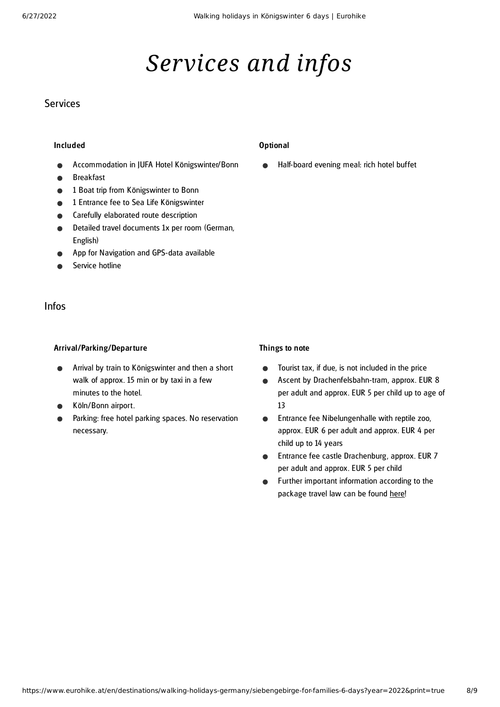# *Services and infos*

#### **Services**

#### Included

- Accommodation in JUFA Hotel Königswinter/Bonn
- Breakfast
- 1 Boat trip from Königswinter to Bonn
- 1 Entrance fee to Sea Life Königswinter
- Carefully elaborated route description
- Detailed travel documents 1x per room (German, English)
- App for Navigation and GPS-data available
- Service hotline

#### Infos

#### Arrival/Parking/Departure

- Arrival by train to Königswinter and then a short walk of approx. 15 min or by taxi in a few minutes to the hotel.
- Köln/Bonn airport.
- Parking: free hotel parking spaces. No reservation necessary.

#### Optional

Half-board evening meal: rich hotel buffet

#### Things to note

- Tourist tax, if due, is not included in the price  $\bullet$
- Ascent by Drachenfelsbahn-tram, approx. EUR 8  $\bullet$ per adult and approx. EUR 5 per child up to age of 13
- Entrance fee Nibelungenhalle with reptile zoo,  $\bullet$ approx. EUR 6 per adult and approx. EUR 4 per child up to 14 years
- Entrance fee castle Drachenburg, approx. EUR 7  $\bullet$ per adult and approx. EUR 5 per child
- Further important information according to the  $\bullet$ package travel law can be found [here](https://www.eurohike.at/en/travel-information/before-the-tour/pci)!